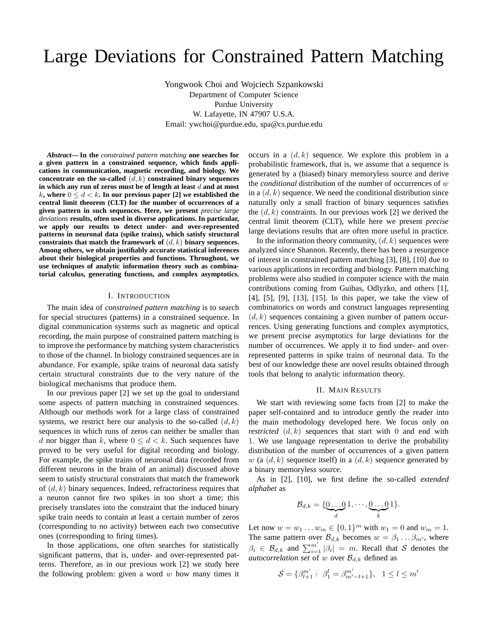# Large Deviations for Constrained Pattern Matching

Yongwook Choi and Wojciech Szpankowski Department of Computer Science Purdue University W. Lafayette, IN 47907 U.S.A. Email: ywchoi@purdue.edu, spa@cs.purdue.edu

*Abstract***— In the** *constrained pattern matching* **one searches for a given pattern in a constrained sequence, which finds applications in communication, magnetic recording, and biology. We concentrate on the so-called**  $(d, k)$  **constrained binary sequences in which any run of zeros must be of length at least** d **and at most** k, where  $0 \leq d < k$ . In our previous paper [2] we established the **central limit theorem (CLT) for the number of occurrences of a given pattern in such sequences. Here, we present** *precise large deviations* **results, often used in diverse applications. In particular, we apply our results to detect under- and over-represented patterns in neuronal data (spike trains), which satisfy structural** constraints that match the framework of  $(d, k)$  binary sequences. **Among others, we obtain justifiably accurate statistical inferences about their biological properties and functions. Throughout, we use techniques of analytic information theory such as combinatorial calculus, generating functions, and complex asymptotics.**

## I. INTRODUCTION

The main idea of *constrained pattern matching* is to search for special structures (patterns) in a constrained sequence. In digital communication systems such as magnetic and optical recording, the main purpose of constrained pattern matching is to improve the performance by matching system characteristics to those of the channel. In biology constrained sequences are in abundance. For example, spike trains of neuronal data satisfy certain structural constraints due to the very nature of the biological mechanisms that produce them.

In our previous paper [2] we set up the goal to understand some aspects of pattern matching in constrained sequences. Although our methods work for a large class of constrained systems, we restrict here our analysis to the so-called  $(d, k)$ sequences in which runs of zeros can neither be smaller than d nor bigger than k, where  $0 \leq d < k$ . Such sequences have proved to be very useful for digital recording and biology. For example, the spike trains of neuronal data (recorded from different neurons in the brain of an animal) discussed above seem to satisfy structural constraints that match the framework of  $(d, k)$  binary sequences. Indeed, refractoriness requires that a neuron cannot fire two spikes in too short a time; this precisely translates into the constraint that the induced binary spike train needs to contain at least a certain number of zeros (corresponding to no activity) between each two consecutive ones (corresponding to firing times).

In those applications, one often searches for statistically significant patterns, that is, under- and over-represented patterns. Therefore, as in our previous work [2] we study here the following problem: given a word  $w$  how many times it occurs in a  $(d, k)$  sequence. We explore this problem in a probabilistic framework, that is, we assume that a sequence is generated by a (biased) binary memoryless source and derive the *conditional* distribution of the number of occurrences of w in a  $(d, k)$  sequence. We need the conditional distribution since naturally only a small fraction of binary sequences satisfies the  $(d, k)$  constraints. In our previous work [2] we derived the central limit theorem (CLT), while here we present *precise* large deviations results that are often more useful in practice.

In the information theory community,  $(d, k)$  sequences were analyzed since Shannon. Recently, there has been a resurgence of interest in constrained pattern matching [3], [8], [10] due to various applications in recording and biology. Pattern matching problems were also studied in computer science with the main contributions coming from Guibas, Odlyzko, and others [1], [4], [5], [9], [13], [15]. In this paper, we take the view of combinatorics on words and construct languages representing  $(d, k)$  sequences containing a given number of pattern occurrences. Using generating functions and complex asymptotics, we present precise asymptotics for large deviations for the number of occurrences. We apply it to find under- and overrepresented patterns in spike trains of neuronal data. To the best of our knowledge these are novel results obtained through tools that belong to analytic information theory.

### II. MAIN RESULTS

We start with reviewing some facts from [2] to make the paper self-contained and to introduce gently the reader into the main methodology developed here. We focus only on *restricted*  $(d, k)$  sequences that start with 0 and end with 1. We use language representation to derive the probability distribution of the number of occurrences of a given pattern w (a  $(d, k)$  sequence itself) in a  $(d, k)$  sequence generated by a binary memoryless source.

As in [2], [10], we first define the so-called *extended alphabet* as

$$
\mathcal{B}_{d,k} = \{ \underbrace{0 \dots 0}_{d} 1, \cdots, \underbrace{0 \dots 0}_{k} 1 \}.
$$

Let now  $w = w_1 \dots w_m \in \{0, 1\}^m$  with  $w_1 = 0$  and  $w_m = 1$ . The same pattern over  $\mathcal{B}_{d,k}$  becomes  $w = \beta_1 \dots \beta_{m'}$ , where  $\beta_i \in \mathcal{B}_{d,k}$  and  $\sum_{i=1}^{m'} |\beta_i| = m$ . Recall that S denotes the *autocorrelation set* of w over  $\mathcal{B}_{d,k}$  defined as

$$
S = \{\beta_{l+1}^{m'} : \ \beta_1^l = \beta_{m'-l+1}^{m'}\}, \ \ 1 \leq l \leq m'
$$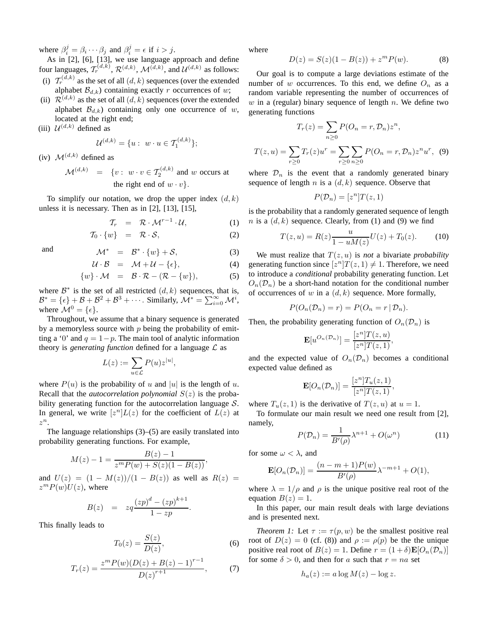where  $\beta_i^j = \beta_i \cdots \beta_j$  and  $\beta_i^j = \epsilon$  if  $i > j$ .

As in [2], [6], [13], we use language approach and define four languages,  $\mathcal{T}_r^{(d,k)}$ ,  $\mathcal{R}^{(d,k)}$ ,  $\mathcal{M}^{(d,k)}$ , and  $\mathcal{U}^{(d,k)}$  as follows:

- (i)  $T_r^{(d,k)}$  as the set of all  $(d, k)$  sequences (over the extended alphabet  $\mathcal{B}_{d,k}$ ) containing exactly r occurrences of w;
- (ii)  $\mathcal{R}^{(d,k)}$  as the set of all  $(d, k)$  sequences (over the extended alphabet  $\mathcal{B}_{d,k}$ ) containing only one occurrence of w, located at the right end;
- (iii)  $\mathcal{U}^{(d,k)}$  defined as

$$
\mathcal{U}^{(d,k)} = \{u : w \cdot u \in \mathcal{T}_1^{(d,k)}\};
$$

(iv)  $\mathcal{M}^{(d,k)}$  defined as

$$
\mathcal{M}^{(d,k)} = \{v : w \cdot v \in \mathcal{T}_2^{(d,k)} \text{ and } w \text{ occurs at} \\ \text{the right end of } w \cdot v \}.
$$

To simplify our notation, we drop the upper index  $(d, k)$ unless it is necessary. Then as in [2], [13], [15],

$$
\mathcal{T}_r = \mathcal{R} \cdot \mathcal{M}^{r-1} \cdot \mathcal{U}, \tag{1}
$$

$$
\mathcal{T}_0 \cdot \{w\} = \mathcal{R} \cdot \mathcal{S}, \tag{2}
$$

and 
$$
\mathcal{M}^* = \mathcal{B}^* \cdot \{w\} + \mathcal{S}, \tag{3}
$$

$$
\mathcal{U} \cdot \mathcal{B} = \mathcal{M} + \mathcal{U} - \{\epsilon\}, \tag{4}
$$

$$
\{w\} \cdot \mathcal{M} = \mathcal{B} \cdot \mathcal{R} - (\mathcal{R} - \{w\}), \tag{5}
$$

where  $\mathcal{B}^*$  is the set of all restricted  $(d, k)$  sequences, that is,  $\mathcal{B}^* = \{\epsilon\} + \mathcal{B} + \mathcal{B}^2 + \mathcal{B}^3 + \cdots$ . Similarly,  $\mathcal{M}^* = \sum_{i=0}^{\infty} \mathcal{M}^i$ , where  $\mathcal{M}^0 = {\epsilon}.$ 

Throughout, we assume that a binary sequence is generated by a memoryless source with  $p$  being the probability of emitting a '0' and  $q = 1-p$ . The main tool of analytic information theory is *generating function* defined for a language  $\mathcal{L}$  as

$$
L(z) := \sum_{u \in \mathcal{L}} P(u) z^{|u|},
$$

where  $P(u)$  is the probability of u and |u| is the length of u. Recall that the *autocorrelation polynomial*  $S(z)$  is the probability generating function for the autocorrelation language  $S$ . In general, we write  $[z^n]L(z)$  for the coefficient of  $L(z)$  at  $z^n$ .

The language relationships  $(3)$ – $(5)$  are easily translated into probability generating functions. For example,

$$
M(z) - 1 = \frac{B(z) - 1}{z^m P(w) + S(z)(1 - B(z))},
$$

and  $U(z) = (1 - M(z))/(1 - B(z))$  as well as  $R(z) =$  $z^m P(w)U(z)$ , where

$$
B(z) = zq \frac{(zp)^d - (zp)^{k+1}}{1 - zp}.
$$

This finally leads to

$$
T_0(z) = \frac{S(z)}{D(z)},\tag{6}
$$

$$
T_r(z) = \frac{z^m P(w)(D(z) + B(z) - 1)^{r-1}}{D(z)^{r+1}},
$$
 (7)

where

$$
D(z) = S(z)(1 - B(z)) + zm P(w).
$$
 (8)

Our goal is to compute a large deviations estimate of the number of w occurrences. To this end, we define  $O_n$  as a random variable representing the number of occurrences of w in a (regular) binary sequence of length n. We define two generating functions

$$
T_r(z) = \sum_{n\geq 0} P(O_n = r, \mathcal{D}_n) z^n,
$$
  

$$
T(z, u) = \sum_{r\geq 0} T_r(z) u^r = \sum_{r\geq 0} \sum_{n\geq 0} P(O_n = r, \mathcal{D}_n) z^n u^r, (9)
$$

where  $\mathcal{D}_n$  is the event that a randomly generated binary sequence of length n is a  $(d, k)$  sequence. Observe that

$$
P(\mathcal{D}_n) = [z^n]T(z, 1)
$$

is the probability that a randomly generated sequence of length n is a  $(d, k)$  sequence. Clearly, from (1) and (9) we find

$$
T(z, u) = R(z) \frac{u}{1 - uM(z)} U(z) + T_0(z).
$$
 (10)

We must realize that  $T(z, u)$  is *not* a bivariate *probability* generating function since  $[z^n]T(z, 1) \neq 1$ . Therefore, we need to introduce a *conditional* probability generating function. Let  $O_n(\mathcal{D}_n)$  be a short-hand notation for the conditional number of occurrences of w in a  $(d, k)$  sequence. More formally,

$$
P(O_n(\mathcal{D}_n) = r) = P(O_n = r | \mathcal{D}_n).
$$

Then, the probability generating function of  $O_n(\mathcal{D}_n)$  is

$$
\mathbf{E}[u^{O_n(\mathcal{D}_n)}] = \frac{[z^n]T(z, u)}{[z^n]T(z, 1)},
$$

and the expected value of  $O_n(\mathcal{D}_n)$  becomes a conditional expected value defined as

$$
\mathbf{E}[O_n(\mathcal{D}_n)] = \frac{[z^n]T_u(z,1)}{[z^n]T(z,1)},
$$

where  $T_u(z, 1)$  is the derivative of  $T(z, u)$  at  $u = 1$ .

To formulate our main result we need one result from [2], namely,

$$
P(\mathcal{D}_n) = \frac{1}{B'(\rho)} \lambda^{n+1} + O(\omega^n) \tag{11}
$$

for some  $\omega < \lambda$ , and

$$
\mathbf{E}[O_n(\mathcal{D}_n)] = \frac{(n-m+1)P(w)}{B'(\rho)} \lambda^{-m+1} + O(1),
$$

where  $\lambda = 1/\rho$  and  $\rho$  is the unique positive real root of the equation  $B(z) = 1$ .

In this paper, our main result deals with large deviations and is presented next.

*Theorem 1:* Let  $\tau := \tau(p, w)$  be the smallest positive real root of  $D(z) = 0$  (cf. (8)) and  $\rho := \rho(p)$  be the the unique positive real root of  $B(z) = 1$ . Define  $r = (1 + \delta) \mathbf{E}[O_n(\mathcal{D}_n)]$ for some  $\delta > 0$ , and then for a such that  $r = na$  set

$$
h_a(z) := a \log M(z) - \log z.
$$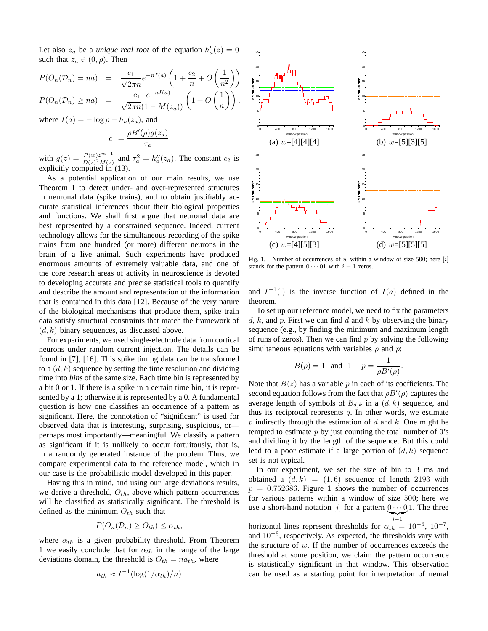Let also  $z_a$  be a *unique real root* of the equation  $h'_a(z) = 0$ such that  $z_a \in (0, \rho)$ . Then

$$
P(O_n(\mathcal{D}_n) = na) = \frac{c_1}{\sqrt{2\pi n}} e^{-nI(a)} \left( 1 + \frac{c_2}{n} + O\left(\frac{1}{n^2}\right) \right),
$$
  
\n
$$
P(O_n(\mathcal{D}_n) \ge na) = \frac{c_1 \cdot e^{-nI(a)}}{\sqrt{2\pi n}(1 - M(z_a))} \left( 1 + O\left(\frac{1}{n}\right) \right),
$$
  
\nwhere  $I(a) = -\log \rho - h_a(z_a)$ , and

$$
c_1 = \frac{\rho B'(\rho)g(z_a)}{\tau_a}
$$

with  $g(z) = \frac{P(w)z^{m-1}}{D(z)^2M(z)}$  and  $\tau_a^2 = h''_a(z_a)$ . The constant  $c_2$  is explicitly computed in  $(13)$ .

As a potential application of our main results, we use Theorem 1 to detect under- and over-represented structures in neuronal data (spike trains), and to obtain justifiably accurate statistical inferences about their biological properties and functions. We shall first argue that neuronal data are best represented by a constrained sequence. Indeed, current technology allows for the simultaneous recording of the spike trains from one hundred (or more) different neurons in the brain of a live animal. Such experiments have produced enormous amounts of extremely valuable data, and one of the core research areas of activity in neuroscience is devoted to developing accurate and precise statistical tools to quantify and describe the amount and representation of the information that is contained in this data [12]. Because of the very nature of the biological mechanisms that produce them, spike train data satisfy structural constraints that match the framework of  $(d, k)$  binary sequences, as discussed above.

For experiments, we used single-electrode data from cortical neurons under random current injection. The details can be found in [7], [16]. This spike timing data can be transformed to a  $(d, k)$  sequence by setting the time resolution and dividing time into *bins* of the same size. Each time bin is represented by a bit 0 or 1. If there is a spike in a certain time bin, it is represented by a 1; otherwise it is represented by a 0. A fundamental question is how one classifies an occurrence of a pattern as significant. Here, the connotation of "significant" is used for observed data that is interesting, surprising, suspicious, or perhaps most importantly—meaningful. We classify a pattern as significant if it is unlikely to occur fortuitously, that is, in a randomly generated instance of the problem. Thus, we compare experimental data to the reference model, which in our case is the probabilistic model developed in this paper.

Having this in mind, and using our large deviations results, we derive a threshold,  $O_{th}$ , above which pattern occurrences will be classified as statistically significant. The threshold is defined as the minimum  $O_{th}$  such that

$$
P(O_n(\mathcal{D}_n) \geq O_{th}) \leq \alpha_{th},
$$

where  $\alpha_{th}$  is a given probability threshold. From Theorem 1 we easily conclude that for  $\alpha_{th}$  in the range of the large deviations domain, the threshold is  $O_{th} = na_{th}$ , where

$$
a_{th} \approx I^{-1}(\log(1/\alpha_{th})/n)
$$



Fig. 1. Number of occurrences of w within a window of size 500; here  $[i]$ stands for the pattern  $0 \cdots 01$  with  $i - 1$  zeros.

and  $I^{-1}(\cdot)$  is the inverse function of  $I(a)$  defined in the theorem.

To set up our reference model, we need to fix the parameters  $d, k$ , and  $p$ . First we can find  $d$  and  $k$  by observing the binary sequence (e.g., by finding the minimum and maximum length of runs of zeros). Then we can find  $p$  by solving the following simultaneous equations with variables  $\rho$  and  $p$ .

$$
B(\rho) = 1 \quad \text{and} \quad 1 - p = \frac{1}{\rho B'(\rho)}
$$

.

Note that  $B(z)$  has a variable p in each of its coefficients. The second equation follows from the fact that  $\rho B'(\rho)$  captures the average length of symbols of  $\mathcal{B}_{d,k}$  in a  $(d, k)$  sequence, and thus its reciprocal represents  $q$ . In other words, we estimate  $p$  indirectly through the estimation of  $d$  and  $k$ . One might be tempted to estimate  $p$  by just counting the total number of 0's and dividing it by the length of the sequence. But this could lead to a poor estimate if a large portion of  $(d, k)$  sequence set is not typical.

In our experiment, we set the size of bin to 3 ms and obtained a  $(d, k) = (1, 6)$  sequence of length 2193 with  $p = 0.752686$ . Figure 1 shows the number of occurrences for various patterns within a window of size 500; here we use a short-hand notation [i] for a pattern  $\underbrace{0 \cdots 0}_{i-1}$ 1. The three

horizontal lines represent thresholds for  $\alpha_{th} = 10^{-6}$ ,  $10^{-7}$ , and  $10^{-8}$ , respectively. As expected, the thresholds vary with the structure of  $w$ . If the number of occurrences exceeds the threshold at some position, we claim the pattern occurrence is statistically significant in that window. This observation can be used as a starting point for interpretation of neural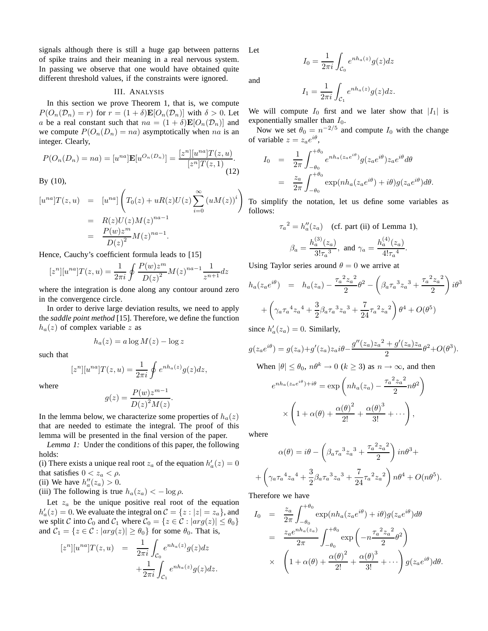signals although there is still a huge gap between patterns of spike trains and their meaning in a real nervous system. In passing we observe that one would have obtained quite different threshold values, if the constraints were ignored.

# III. ANALYSIS

In this section we prove Theorem 1, that is, we compute  $P(O_n(\mathcal{D}_n) = r)$  for  $r = (1 + \delta) \mathbf{E}[O_n(\mathcal{D}_n)]$  with  $\delta > 0$ . Let a be a real constant such that  $na = (1 + \delta) \mathbf{E}[O_n(\mathcal{D}_n)]$  and we compute  $P(O_n(D_n) = na)$  asymptotically when na is an integer. Clearly,

$$
P(O_n(D_n) = na) = [u^{na}] \mathbf{E}[u^{O_n(D_n)}] = \frac{[z^n][u^{na}]T(z, u)}{[z^n]T(z, 1)}.
$$
\n(12)

By (10),

$$
[u^{na}]T(z, u) = [u^{na}] \left( T_0(z) + uR(z)U(z) \sum_{i=0}^{\infty} (uM(z))^i \right)
$$
  
= 
$$
R(z)U(z)M(z)^{na-1}
$$
  
= 
$$
\frac{P(w)z^m}{D(z)^2}M(z)^{na-1}.
$$

Hence, Cauchy's coefficient formula leads to [15]

$$
[z^n][u^{na}]T(z,u) = \frac{1}{2\pi i} \oint \frac{P(w)z^m}{D(z)^2} M(z)^{na-1} \frac{1}{z^{n+1}} dz
$$

where the integration is done along any contour around zero in the convergence circle.

In order to derive large deviation results, we need to apply the *saddle point method* [15]. Therefore, we define the function  $h_a(z)$  of complex variable z as

$$
h_a(z) = a \log M(z) - \log z
$$

such that

$$
[zn][una]T(z, u) = \frac{1}{2\pi i} \oint e^{nh_a(z)}g(z)dz,
$$

where

$$
g(z) = \frac{P(w)z^{m-1}}{D(z)^2 M(z)}.
$$

In the lemma below, we characterize some properties of  $h_a(z)$ that are needed to estimate the integral. The proof of this lemma will be presented in the final version of the paper.

*Lemma 1:* Under the conditions of this paper, the following holds:

(i) There exists a unique real root  $z_a$  of the equation  $h'_a(z) = 0$ that satisfies  $0 < z_a < \rho$ .

(ii) We have  $h''_a(z_a) > 0$ .

(iii) The following is true  $h_a(z_a) < -\log \rho$ .

Let  $z_a$  be the unique positive real root of the equation  $h'_a(z) = 0$ . We evaluate the integral on  $\mathcal{C} = \{z : |z| = z_a\}$ , and we split C into  $C_0$  and  $C_1$  where  $C_0 = \{z \in C : |arg(z)| \leq \theta_0\}$ and  $C_1 = \{z \in C : |arg(z)| \ge \theta_0\}$  for some  $\theta_0$ . That is,

$$
[zn][una]T(z, u) = \frac{1}{2\pi i} \int_{C_0} e^{nh_a(z)}g(z)dz + \frac{1}{2\pi i} \int_{C_1} e^{nh_a(z)}g(z)dz.
$$

Let

$$
I_0 = \frac{1}{2\pi i} \int_{\mathcal{C}_0} e^{nh_a(z)} g(z) dz
$$

and

$$
I_1 = \frac{1}{2\pi i} \int_{\mathcal{C}_1} e^{nh_a(z)} g(z) dz.
$$

We will compute  $I_0$  first and we later show that  $|I_1|$  is exponentially smaller than  $I_0$ .

Now we set  $\theta_0 = n^{-2/5}$  and compute  $I_0$  with the change of variable  $z = z_a e^{i\theta}$ ,

$$
I_0 = \frac{1}{2\pi} \int_{-\theta_0}^{+\theta_0} e^{nh_a(z_a e^{i\theta})} g(z_a e^{i\theta}) z_a e^{i\theta} d\theta
$$
  

$$
= \frac{z_a}{2\pi} \int_{-\theta_0}^{+\theta_0} \exp(nh_a(z_a e^{i\theta}) + i\theta) g(z_a e^{i\theta}) d\theta.
$$

To simplify the notation, let us define some variables as follows:

$$
\tau_a^2 = h''_a(z_a)
$$
 (cf. part (ii) of Lemma 1),  
\n $\beta_a = \frac{h_a^{(3)}(z_a)}{3!\tau_a^3}$ , and  $\gamma_a = \frac{h_a^{(4)}(z_a)}{4!\tau_a^4}$ .

Using Taylor series around  $\theta = 0$  we arrive at

$$
h_a(z_a e^{i\theta}) = h_a(z_a) - \frac{\tau_a^2 z_a^2}{2} \theta^2 - \left(\beta_a \tau_a^3 z_a^3 + \frac{\tau_a^2 z_a^2}{2}\right) i\theta^3
$$

$$
+ \left(\gamma_a \tau_a^4 z_a^4 + \frac{3}{2} \beta_a \tau_a^3 z_a^3 + \frac{7}{24} \tau_a^2 z_a^2\right) \theta^4 + O(\theta^5)
$$

since  $h'_a(z_a) = 0$ . Similarly,

$$
g(z_{a}e^{i\theta}) = g(z_{a}) + g'(z_{a})z_{a}i\theta - \frac{g''(z_{a})z_{a}^{2} + g'(z_{a})z_{a}}{2}\theta^{2} + O(\theta^{3}).
$$

When  $|\theta| \leq \theta_0$ ,  $n\theta^k \to 0$  ( $k \geq 3$ ) as  $n \to \infty$ , and then

$$
e^{nh_a(z_a e^{i\theta})+i\theta} = \exp\left(nh_a(z_a) - \frac{\tau_a^2 z_a^2}{2}n\theta^2\right)
$$

$$
\times \left(1 + \alpha(\theta) + \frac{\alpha(\theta)^2}{2!} + \frac{\alpha(\theta)^3}{3!} + \cdots\right),
$$

where

$$
\alpha(\theta) = i\theta - \left(\beta_a \tau_a^3 z_a^3 + \frac{\tau_a^2 z_a^2}{2}\right) in\theta^3 + + \left(\gamma_a \tau_a^4 z_a^4 + \frac{3}{2}\beta_a \tau_a^3 z_a^3 + \frac{7}{24}\tau_a^2 z_a^2\right) n\theta^4 + O(n\theta^5).
$$

Therefore we have

$$
I_0 = \frac{z_a}{2\pi} \int_{-\theta_0}^{+\theta_0} \exp(nh_a(z_a e^{i\theta}) + i\theta)g(z_a e^{i\theta}) d\theta
$$
  
\n
$$
= \frac{z_a e^{nh_a(z_a)}}{2\pi} \int_{-\theta_0}^{+\theta_0} \exp\left(-n\frac{\tau_a^2 z_a^2}{2}\theta^2\right)
$$
  
\n
$$
\times \left(1 + \alpha(\theta) + \frac{\alpha(\theta)^2}{2!} + \frac{\alpha(\theta)^3}{3!} + \cdots\right) g(z_a e^{i\theta}) d\theta.
$$